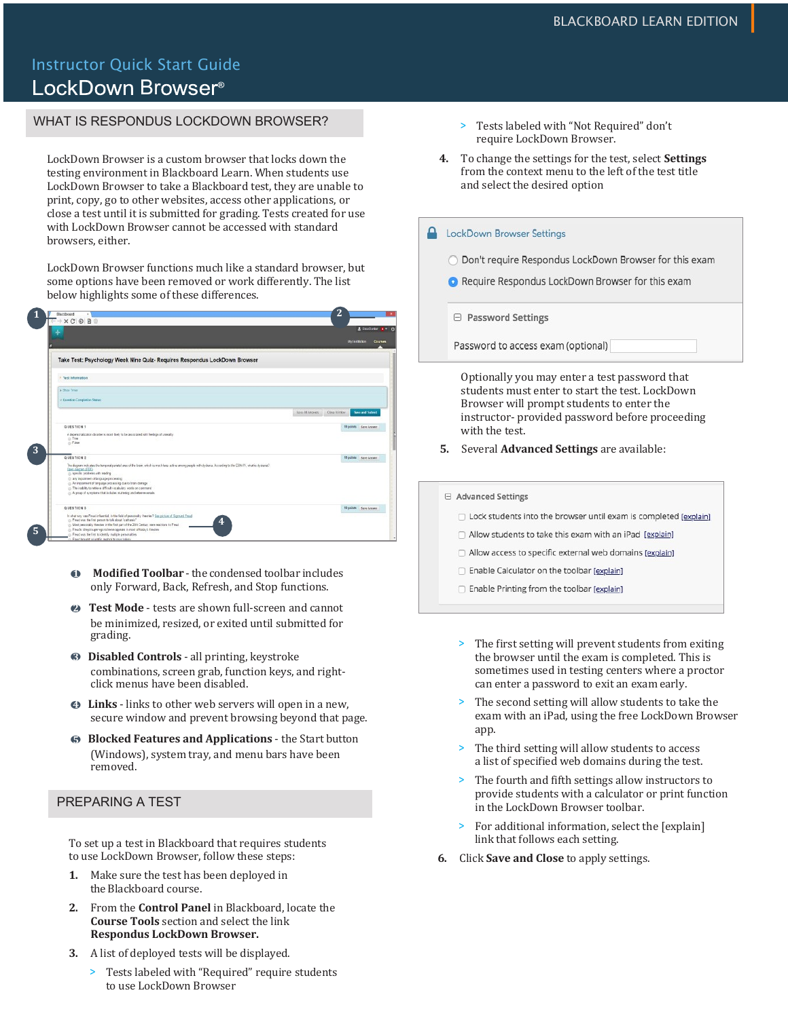# Instructor Quick Start Guide LockDown Browser<sup>®</sup>

## WHAT IS RESPONDUS LOCKDOWN BROWSER?

LockDown Browser is a custom browser that locks down the testing environment in Blackboard Learn. When students use LockDown Browser to take a Blackboard test, they are unable to print, copy, go to other websites, access other applications, or close a test until it is submitted for grading. Tests created for use with LockDown Browser cannot be accessed with standard browsers, either.

LockDown Browser functions much like a standard browser, but some options have been removed or work differently. The list below highlights some of these differences.

| ۰                                                                                                                                                                                                                                             |                   | & Escaliator 1 (6)                     |         |
|-----------------------------------------------------------------------------------------------------------------------------------------------------------------------------------------------------------------------------------------------|-------------------|----------------------------------------|---------|
|                                                                                                                                                                                                                                               |                   | My Institution                         | Courses |
| Take Test: Psychology Week Nine Quiz- Requires Respondus LockDown Browser                                                                                                                                                                     |                   |                                        |         |
| V Test Information                                                                                                                                                                                                                            |                   |                                        |         |
| & Show Trees                                                                                                                                                                                                                                  |                   |                                        |         |
| v Gentfon Completion Statec                                                                                                                                                                                                                   |                   |                                        |         |
|                                                                                                                                                                                                                                               | Sano All Anciento | Clice Window<br><b>Save and Submit</b> |         |
| <b>QUESTION 1</b>                                                                                                                                                                                                                             |                   | 50 points   Save Annwer                |         |
| A dependoralization clearder is react likely to be associated with feelings of unreality.<br>@ True<br>c) Pales                                                                                                                               |                   |                                        |         |
| QUESTION 2                                                                                                                                                                                                                                    |                   | 10 points   Arre Annwer                |         |
| The diagnominate ates the temporal panidal area of the brain, which is much less active among people with dysless. According to the CEM-77, what is dyslesse?<br><b>Case dagram (FDE)</b><br>(ii) Apeca <sup>t</sup> ic problems with reading |                   |                                        |         |
| (i) any impairment of language processing<br>@ An impointent of language processing due to brain damage                                                                                                                                       |                   |                                        |         |
| c) The inability to retrieve difficult vocabulary words on command<br>(ii) A group of symptoms that includes studening and letter enversals.                                                                                                  |                   |                                        |         |
| QUESTION 3                                                                                                                                                                                                                                    |                   | 10 gaints Sere Ammer                   |         |
| In what way was Presclinfluented, in the field of personality theories? See picture of Sigmund Freed<br>c: Freed you the first person to talk about "cathersis"<br>4                                                                          |                   |                                        |         |
| (ii) Most pwechality theories in the first part of the 20th Century news reactions to Freud<br>(ii) Fleed's idlegalisuper-ego scheme appears in recet of today's theories                                                                     |                   |                                        |         |
| in Freed was the first to identify multiple personalities                                                                                                                                                                                     |                   |                                        |         |

- **Modified Toolbar** the condensed toolbar includes only Forward, Back, Refresh, and Stop functions.
- <sup>2</sup> Test Mode tests are shown full-screen and cannot be minimized, resized, or exited until submitted for grading.
- **3** Disabled Controls all printing, keystroke combinations, screen grab, function keys, and rightclick menus have been disabled.
- **4** Links links to other web servers will open in a new, secure window and prevent browsing beyond that page.
- **6** Blocked Features and Applications the Start button (Windows), system tray, and menu bars have been removed.

### PREPARING A TEST

To set up a test in Blackboard that requires students to use LockDown Browser, follow these steps:

- **1.** Make sure the test has been deployed in the Blackboard course.
- **2.** From the **Control Panel** in Blackboard, locate the **Course Tools** section and select the link **Respondus LockDown Browser.**
- **3.** A list of deployed tests will be displayed.
	- > Tests labeled with "Required" require students to use LockDown Browser
- > Tests labeled with "Not Required" don't require LockDown Browser.
- 4. To change the settings for the test, select **Settings** from the context menu to the left of the test title and select the desired option

#### **A** LockDown Browser Settings

- O Don't require Respondus LockDown Browser for this exam
- Require Respondus LockDown Browser for this exam

□ Password Settings

Password to access exam (optional)

Optionally you may enter a test password that students must enter to start the test. LockDown Browser will prompt students to enter the instructor- provided password before proceeding with the test.

- **5.** Several **Advanced Settings** are available:
- □ Advanced Settings
	- □ Lock students into the browser until exam is completed [explain]
	- $\Box$  Allow students to take this exam with an iPad [explain]
	- Allow access to specific external web domains [explain]
	- Enable Calculator on the toolbar [explain]
	- Enable Printing from the toolbar [explain]
	- > The first setting will prevent students from exiting the browser until the exam is completed. This is sometimes used in testing centers where a proctor can enter a password to exit an exam early.
	- The second setting will allow students to take the exam with an iPad, using the free LockDown Browser app.
	- > The third setting will allow students to access a list of specified web domains during the test.
	- > The fourth and fifth settings allow instructors to provide students with a calculator or print function in the LockDown Browser toolbar.
	- > For additional information, select the [explain] link that follows each setting.
- **6.** Click **Save and Close** to apply settings.